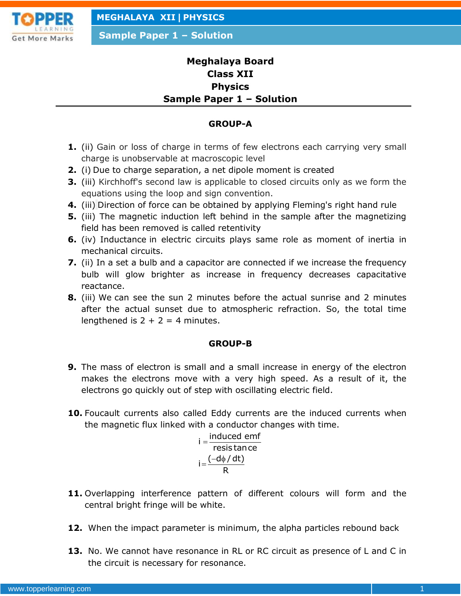

**Sample Paper 1 – Solution**

# **Meghalaya Board Class XII Physics Sample Paper 1 – Solution**

## **GROUP-A**

- **1.** (ii) Gain or loss of charge in terms of few electrons each carrying very small charge is unobservable at macroscopic level
- **2.** (i) Due to charge separation, a net dipole moment is created
- **3.** (iii) Kirchhoff's second law is applicable to closed circuits only as we form the equations using the loop and sign convention.
- **4.** (iii) Direction of force can be obtained by applying Fleming's right hand rule
- **5.** (iii) The magnetic induction left behind in the sample after the magnetizing field has been removed is called retentivity
- **6.** (iv) Inductance in electric circuits plays same role as moment of inertia in mechanical circuits.
- **7.** (ii) In a set a bulb and a capacitor are connected if we increase the frequency bulb will glow brighter as increase in frequency decreases capacitative reactance.
- **8.** (iii) We can see the sun 2 minutes before the actual sunrise and 2 minutes after the actual sunset due to atmospheric refraction. So, the total time lengthened is  $2 + 2 = 4$  minutes.

#### **GROUP-B**

- **9.** The mass of electron is small and a small increase in energy of the electron makes the electrons move with a very high speed. As a result of it, the electrons go quickly out of step with oscillating electric field.
- **10.** Foucault currents also called Eddy currents are the induced currents when the magnetic flux linked with a conductor changes with time.

$$
i = \frac{\text{induced emf}}{\text{resistance}}
$$

$$
i = \frac{(-d\phi/dt)}{R}
$$

- **11.** Overlapping interference pattern of different colours will form and the central bright fringe will be white.
- **12.** When the impact parameter is minimum, the alpha particles rebound back
- **13.** No. We cannot have resonance in RL or RC circuit as presence of L and C in the circuit is necessary for resonance.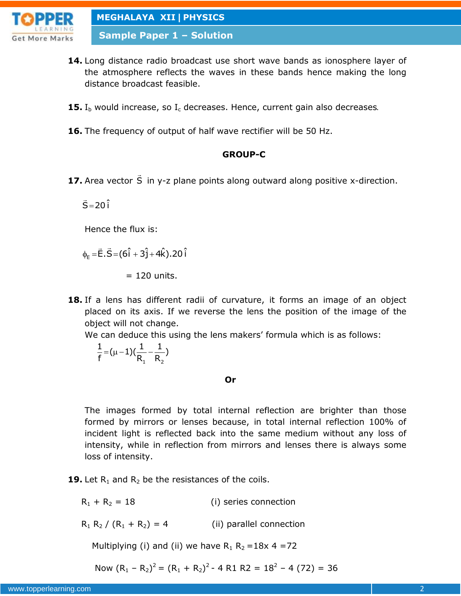

**Sample Paper 1 – Solution**

- **14.** Long distance radio broadcast use short wave bands as ionosphere layer of the atmosphere reflects the waves in these bands hence making the long distance broadcast feasible.
- **15.** I<sub>b</sub> would increase, so I<sub>c</sub> decreases. Hence, current gain also decreases.
- **16.** The frequency of output of half wave rectifier will be 50 Hz.

#### **GROUP-C**

**17.** Area vector S  $\overline{a}$ in y-z plane points along outward along positive x-direction.

 $\vec{S} = 20 \hat{i}$ 

Hence the flux is:

 $\phi_{\rm E} = \vec{\rm E} \cdot \vec{\rm S} = (6\hat{\rm i} + 3\hat{\rm j} + 4\hat{\rm k})$ .20 $\hat{\rm i}$ 

 $= 120$  units.

**18.** If a lens has different radii of curvature, it forms an image of an object placed on its axis. If we reverse the lens the position of the image of the object will not change.

We can deduce this using the lens makers' formula which is as follows:

$$
\frac{1}{f}\!=\!(\mu\!-\!1)(\frac{1}{R_{_1}}\!-\!\frac{1}{R_{_2}})
$$

#### **Or**

The images formed by total internal reflection are brighter than those formed by mirrors or lenses because, in total internal reflection 100% of incident light is reflected back into the same medium without any loss of intensity, while in reflection from mirrors and lenses there is always some loss of intensity.

**19.** Let  $R_1$  and  $R_2$  be the resistances of the coils.

 $R_1 + R_2 = 18$  (i) series connection

 $R_1 R_2 / (R_1 + R_2) = 4$  (ii) parallel connection

Multiplying (i) and (ii) we have  $R_1 R_2 = 18x$  4 = 72

Now  $(R_1 - R_2)^2 = (R_1 + R_2)^2 - 4 R1 R2 = 18^2 - 4 (72) = 36$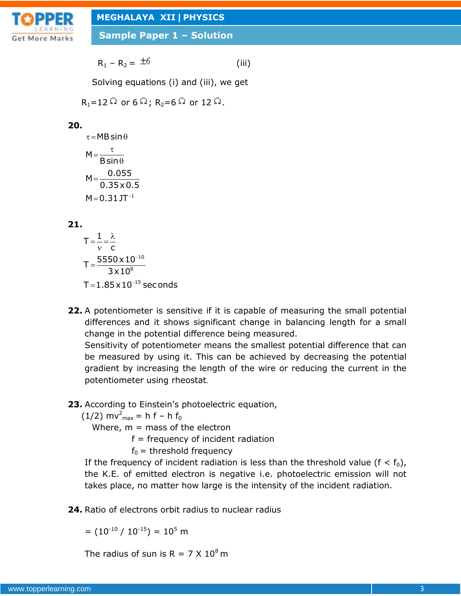

**Sample Paper 1 – Solution**

$$
R_1 - R_2 = \pm 6 \tag{iii}
$$

Solving equations (i) and (iii), we get

$$
R_1=12 \Omega
$$
 or  $6 \Omega$ ;  $R_2=6 \Omega$  or  $12 \Omega$ .

# **20.**

 $M = 0.31$  JT<sup>-1</sup>  $\tau$  = MB sin  $\theta$  $=\frac{\tau}{\sqrt{2}}$  $\theta$  $M = \frac{0.055}{0.35 \times 0.5}$  $M = \frac{C}{B \sin A}$ 

$$
21.
$$

$$
T = \frac{1}{v} = \frac{\lambda}{c}
$$
  
\n
$$
T = \frac{5550 \times 10^{-10}}{3 \times 10^{8}}
$$
  
\n
$$
T = 1.85 \times 10^{-15} \text{ sec on}
$$

**22.** A potentiometer is sensitive if it is capable of measuring the small potential differences and it shows significant change in balancing length for a small change in the potential difference being measured.

Sensitivity of potentiometer means the smallest potential difference that can be measured by using it. This can be achieved by decreasing the potential gradient by increasing the length of the wire or reducing the current in the potentiometer using rheostat.

# **23.** According to Einstein's photoelectric equation,

 $(1/2)$  mv<sup>2</sup><sub>max</sub> = h f – h f<sub>0</sub>

Where,  $m =$  mass of the electron

 $f = frequency of incident radiation$ 

 $f_0$  = threshold frequency

If the frequency of incident radiation is less than the threshold value ( $f < f_0$ ), the K.E. of emitted electron is negative i.e. photoelectric emission will not takes place, no matter how large is the intensity of the incident radiation.

**24.** Ratio of electrons orbit radius to nuclear radius

$$
= (10^{-10} / 10^{-15}) = 10^5 \text{ m}
$$

The radius of sun is  $R = 7 \times 10^8$  m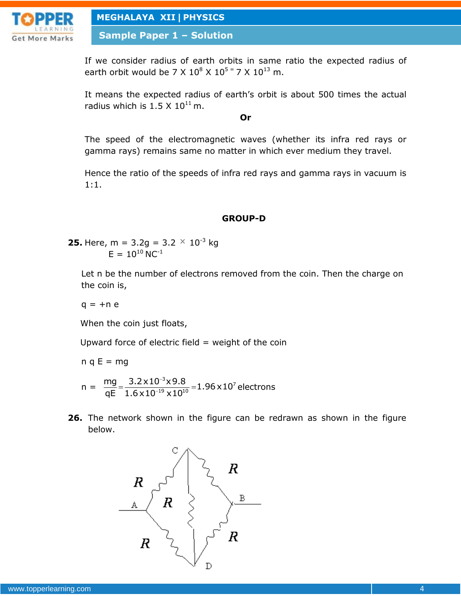

**Sample Paper 1 – Solution**

If we consider radius of earth orbits in same ratio the expected radius of earth orbit would be 7 X  $10^8$  X  $10^5$  = 7 X  $10^{13}$  m.

It means the expected radius of earth's orbit is about 500 times the actual radius which is  $1.5 \times 10^{11}$  m.

**Or**

The speed of the electromagnetic waves (whether its infra red rays or gamma rays) remains same no matter in which ever medium they travel.

Hence the ratio of the speeds of infra red rays and gamma rays in vacuum is 1:1.

**GROUP-D**

**25.** Here, m =  $3.2g = 3.2 \times 10^{-3}$  kg  $F = 10^{10} NC^{-1}$ 

Let n be the number of electrons removed from the coin. Then the charge on the coin is,

 $q = +n e$ 

When the coin just floats,

Upward force of electric field  $=$  weight of the coin

 $n q E = mg$ 

 $n =$  $\frac{mg}{aE} = \frac{3.2 \times 10^{-3} \times 9.8}{1.6 \times 10^{-19} \times 10^{10}} = 1.96 \times 10^{7}$  $\frac{mg}{qE} = \frac{3.2 \times 10^{-3} \times 9.8}{1.6 \times 10^{-19} \times 10^{-19}}$  $=\frac{3.2\times10^{-3}\times9.8}{1.6\times10^{-19}\times10^{10}}=1.96\times10^{7}$  electrons

**26.** The network shown in the figure can be redrawn as shown in the figure below.

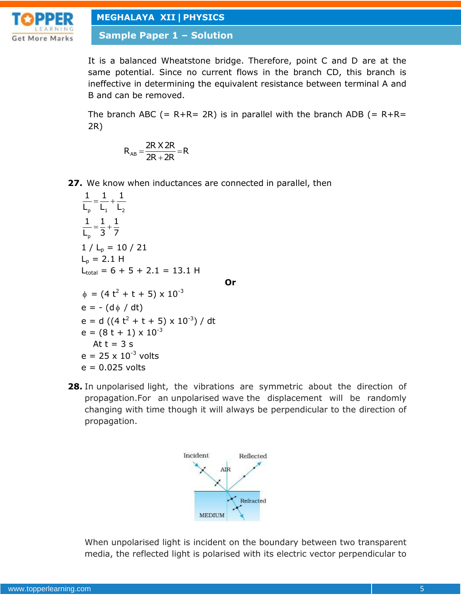

**Sample Paper 1 – Solution**

It is a balanced Wheatstone bridge. Therefore, point C and D are at the same potential. Since no current flows in the branch CD, this branch is ineffective in determining the equivalent resistance between terminal A and B and can be removed.

The branch ABC (=  $R+R= 2R$ ) is in parallel with the branch ADB (=  $R+R=$ 2R)

$$
R_{AB} = \frac{2R \times 2R}{2R + 2R} = R
$$

**27.** We know when inductances are connected in parallel, then

$$
\frac{1}{L_{p}} = \frac{1}{L_{1}} + \frac{1}{L_{2}}
$$
\n
$$
\frac{1}{L_{p}} = \frac{1}{3} + \frac{1}{7}
$$
\n
$$
1 / L_{p} = 10 / 21
$$
\n
$$
L_{p} = 2.1 H
$$
\n
$$
L_{total} = 6 + 5 + 2.1 = 13.1 H
$$
\n
$$
\phi = (4 t^{2} + t + 5) \times 10^{-3}
$$
\n
$$
e = -(d\phi / dt)
$$
\n
$$
e = d ((4 t^{2} + t + 5) \times 10^{-3}) / dt
$$
\n
$$
e = (8 t + 1) \times 10^{-3}
$$
\nAt t = 3 s\n
$$
e = 25 \times 10^{-3} \text{ volts}
$$
\n
$$
e = 0.025 \text{ volts}
$$

**28.** In unpolarised light, the vibrations are symmetric about the direction of propagation.For an unpolarised wave the displacement will be randomly changing with time though it will always be perpendicular to the direction of propagation.



When unpolarised light is incident on the boundary between two transparent media, the reflected light is polarised with its electric vector perpendicular to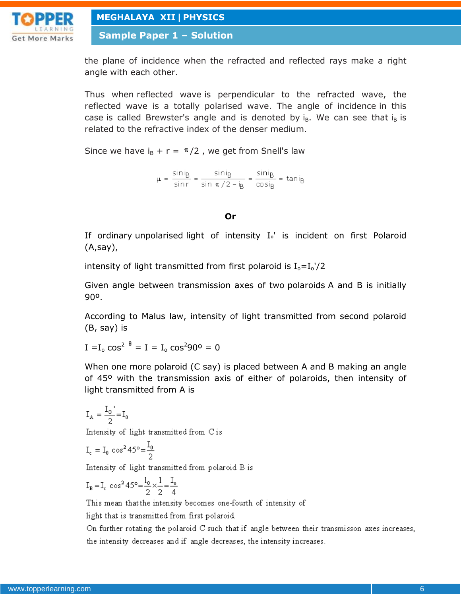

**Sample Paper 1 – Solution**

the plane of incidence when the refracted and reflected rays make a right angle with each other.

Thus when reflected wave is perpendicular to the refracted wave, the reflected wave is a totally polarised wave. The angle of incidence in this case is called Brewster's angle and is denoted by  $i_B$ . We can see that  $i_B$  is related to the refractive index of the denser medium.

Since we have  $i_B + r = \frac{\pi}{2}$ , we get from Snell's law

$$
\mu = \frac{\sin i_B}{\sin r} = \frac{\sin i_B}{\sin \pi / 2 - i_B} = \frac{\sin i_B}{\cos i_B} = \tan i_B
$$

#### **Or**

If ordinary unpolarised light of intensity I<sub>o</sub>' is incident on first Polaroid (A,say),

intensity of light transmitted from first polaroid is  $I_0 = I_0'/2$ 

Given angle between transmission axes of two polaroids A and B is initially 90º.

According to Malus law, intensity of light transmitted from second polaroid (B, say) is

 $I = I_0 \cos^2 \theta = I = I_0 \cos^2 90^\circ = 0$ 

When one more polaroid (C say) is placed between A and B making an angle of 45º with the transmission axis of either of polaroids, then intensity of light transmitted from A is

$$
I_A = \frac{I_0}{2} = I_0
$$

Intensity of light transmitted from Cis

$$
I_c = I_0 \cos^2 45^\circ = \frac{I_0}{2}
$$

Intensity of light transmitted from polaroid B is

$$
I_B = I_c \cos^2 45^\circ = \frac{I_0}{2} \times \frac{1}{2} = \frac{I_o}{4}
$$

This mean that the intensity becomes one-fourth of intensity of

light that is transmitted from first polaroid.

On further rotating the polaroid C such that if angle between their transmisson axes increases, the intensity decreases and if angle decreases, the intensity increases.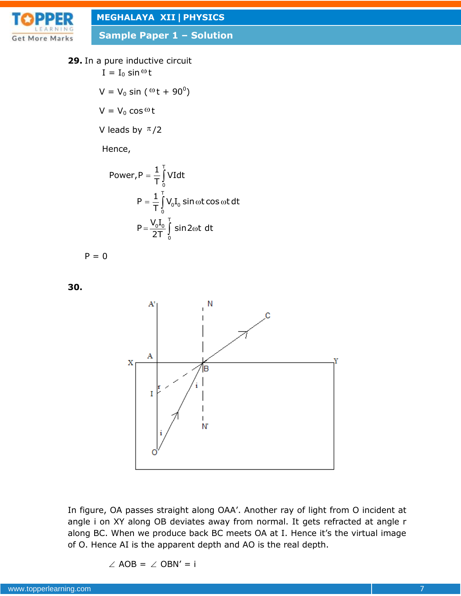

**Sample Paper 1 – Solution**

29. In a pure inductive circuit

 $I = I_0 \sin \omega t$  $V = V_0 \sin (\omega t + 90^\circ)$  $V = V_0 \cos \omega t$ V leads by  $\pi/2$ 

Hence,

Power, 
$$
P = \frac{1}{T} \int_{0}^{T} V I dt
$$
  
\n $P = \frac{1}{T} \int_{0}^{T} V_{0} I_{0} \sin \omega t \cos \omega t dt$   
\n $P = \frac{V_{0} I_{0}}{2T} \int_{0}^{T} \sin 2\omega t dt$ 

$$
P = 0
$$





In figure, OA passes straight along OAA'. Another ray of light from O incident at angle i on XY along OB deviates away from normal. It gets refracted at angle r along BC. When we produce back BC meets OA at I. Hence it's the virtual image of O. Hence AI is the apparent depth and AO is the real depth.

$$
\angle
$$
 AOB =  $\angle$  OBN' = i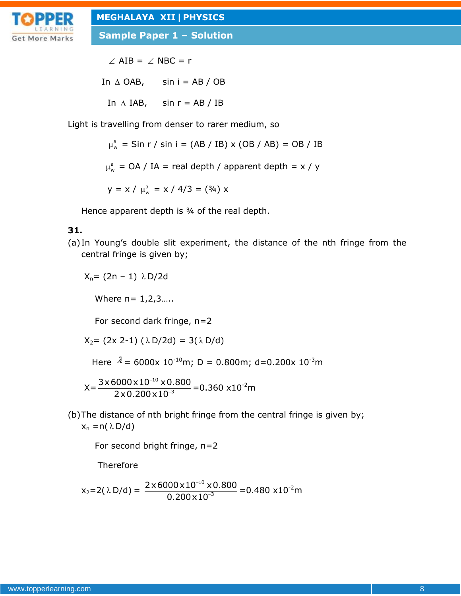

**Sample Paper 1 – Solution**

$$
\angle
$$
 AIB =  $\angle$  NBC = r  
\nIn  $\triangle$  OAB, sin i = AB / OB  
\nIn  $\triangle$  IAB, sin r = AB / IB

Light is travelling from denser to rarer medium, so

 $\mu_w^a$  = Sin r / sin i = (AB / IB) x (OB / AB) = OB / IB  $\mu_w^a$  = OA / IA = real depth / apparent depth = x / y  $y = x / \mu_w^a = x / 4/3 = (3/4) x$ 

Hence apparent depth is 34 of the real depth.

## **31.**

(a) In Young's double slit experiment, the distance of the nth fringe from the central fringe is given by;

 $X_n = (2n - 1) \lambda D/2d$ 

Where  $n = 1, 2, 3, \ldots$ .

For second dark fringe, n=2

 $X_2 = (2x 2-1) (\lambda D/2d) = 3(\lambda D/d)$ 

Here  $\lambda = 6000x 10^{-10}$ m; D = 0.800m; d=0.200x 10<sup>-3</sup>m

$$
X = \frac{3 \times 6000 \times 10^{-10} \times 0.800}{2 \times 0.200 \times 10^{-3}} = 0.360 \times 10^{-2} \text{m}
$$

(b)The distance of nth bright fringe from the central fringe is given by;  $x_n = n(\lambda D/d)$ 

For second bright fringe, n=2

Therefore

 $x_2 = 2(\lambda D/d) =$ 10 3  $2 \times 6000 \times 10^{-10} \times 0.800$ 0.200 x10  $\frac{10}{10^{-3}}$  x 0.800 = 0.480 x 10<sup>-2</sup>m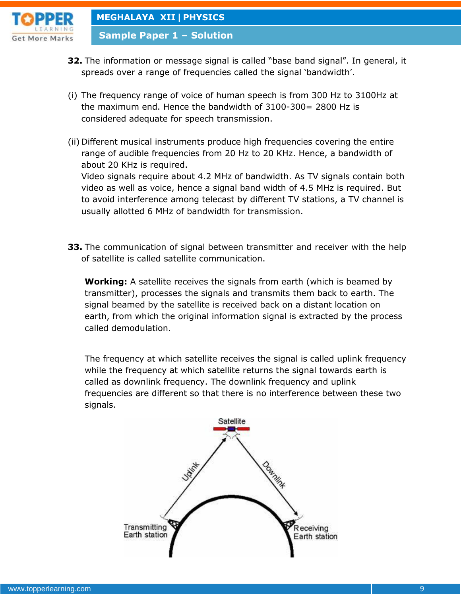

**Sample Paper 1 – Solution**

- **32.** The information or message signal is called "base band signal". In general, it spreads over a range of frequencies called the signal 'bandwidth'.
- (i) The frequency range of voice of human speech is from 300 Hz to 3100Hz at the maximum end. Hence the bandwidth of 3100-300= 2800 Hz is considered adequate for speech transmission.
- (ii) Different musical instruments produce high frequencies covering the entire range of audible frequencies from 20 Hz to 20 KHz. Hence, a bandwidth of about 20 KHz is required.

Video signals require about 4.2 MHz of bandwidth. As TV signals contain both video as well as voice, hence a signal band width of 4.5 MHz is required. But to avoid interference among telecast by different TV stations, a TV channel is usually allotted 6 MHz of bandwidth for transmission.

**33.** The communication of signal between transmitter and receiver with the help of satellite is called satellite communication.

**Working:** A satellite receives the signals from earth (which is beamed by transmitter), processes the signals and transmits them back to earth. The signal beamed by the satellite is received back on a distant location on earth, from which the original information signal is extracted by the process called demodulation.

The frequency at which satellite receives the signal is called uplink frequency while the frequency at which satellite returns the signal towards earth is called as downlink frequency. The downlink frequency and uplink frequencies are different so that there is no interference between these two signals.

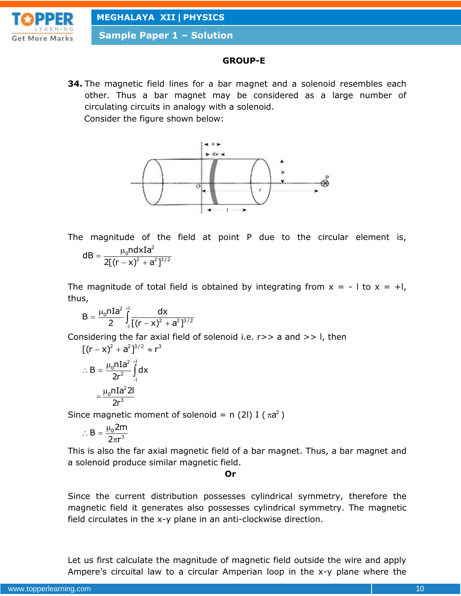

**Sample Paper 1 – Solution**

# **GROUP-E**

**34.** The magnetic field lines for a bar magnet and a solenoid resembles each other. Thus a bar magnet may be considered as a large number of circulating circuits in analogy with a solenoid. Consider the figure shown below:



The magnitude of the field at point P due to the circular element is,  $\sqrt{2}$ 

$$
dB = \frac{\mu_0 n dx I a^2}{2[(r - x)^2 + a^2]^{3/2}}
$$

The magnitude of total field is obtained by integrating from  $x = -1$  to  $x = +1$ , thus,

$$
B=\frac{\mu_0 n I a^2}{2}\int\limits_{-I}^{+}\frac{dx}{[(r-x)^2+a^2]^{3/2}}
$$

Considering the far axial field of solenoid i.e. r>> a and >> l, then

$$
[(r - x)^{2} + a^{2}]^{3/2} \approx r^{3}
$$
  
.: B =  $\frac{\mu_{0} n I a^{2}}{2r^{2}} \int_{-1}^{1} dx$   
=  $\frac{\mu_{0} n I a^{2} 2I}{2r^{3}}$ 

Since magnetic moment of solenoid = n (2l) I ( $\pi a^2$ )

$$
\therefore\, B = \frac{\mu_0 2m}{2\pi r^3}
$$

This is also the far axial magnetic field of a bar magnet. Thus, a bar magnet and a solenoid produce similar magnetic field.

**Or**

Since the current distribution possesses cylindrical symmetry, therefore the magnetic field it generates also possesses cylindrical symmetry. The magnetic field circulates in the x-y plane in an anti-clockwise direction.

Let us first calculate the magnitude of magnetic field outside the wire and apply Ampere's circuital law to a circular Amperian loop in the x-y plane where the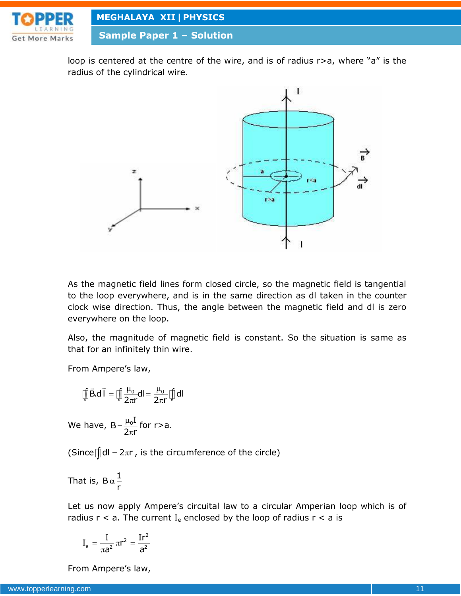

**Sample Paper 1 – Solution**

loop is centered at the centre of the wire, and is of radius r>a, where "a" is the radius of the cylindrical wire.



As the magnetic field lines form closed circle, so the magnetic field is tangential to the loop everywhere, and is in the same direction as dl taken in the counter clock wise direction. Thus, the angle between the magnetic field and dl is zero everywhere on the loop.

Also, the magnitude of magnetic field is constant. So the situation is same as that for an infinitely thin wire.

From Ampere's law,

$$
\iint \vec{B} \cdot d\vec{l} = \iint \frac{\mu_0}{2\pi r} dl = \frac{\mu_0}{2\pi r} \iint dl
$$

We have,  $B = \frac{\mu_0 I}{2}$  $2\pi r$  $=\frac{\mu}{2}$  $\pi$ for r>a.

(Since $\int dI = 2\pi r$  , is the circumference of the circle)

That is, B $\alpha\frac{1}{\tau}$ r  $\alpha$ 

Let us now apply Ampere's circuital law to a circular Amperian loop which is of radius  $r < a$ . The current I<sub>e</sub> enclosed by the loop of radius  $r < a$  is

$$
I_{\rm e}=\frac{I}{\pi a^2}\,\pi r^2=\frac{Ir^2}{a^2}
$$

From Ampere's law,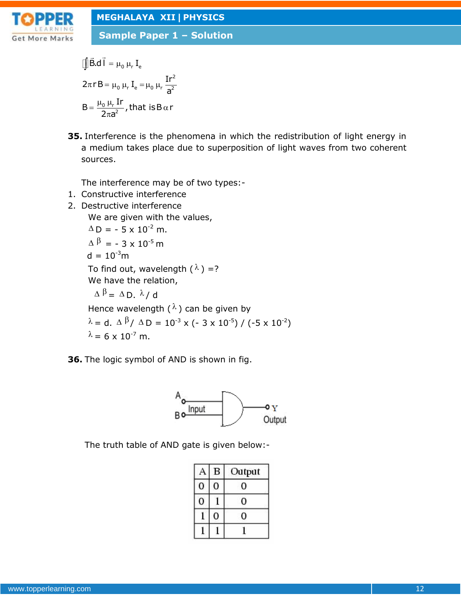

**Sample Paper 1 – Solution**

$$
\begin{aligned}\n\iiint \vec{B} \cdot d\vec{l} &= \mu_0 \mu_r I_e \\
2\pi r B &= \mu_0 \mu_r I_e = \mu_0 \mu_r \frac{Ir^2}{a^2} \\
B &= \frac{\mu_0 \mu_r Ir}{2\pi a^2}, \text{that is } B \alpha r\n\end{aligned}
$$

**35.** Interference is the phenomena in which the redistribution of light energy in a medium takes place due to superposition of light waves from two coherent sources.

The interference may be of two types:-

- 1. Constructive interference
- 2. Destructive interference

We are given with the values,

$$
\Delta D = -5 \times 10^{-2} \text{ m.}
$$
  

$$
\Delta \beta = -3 \times 10^{-5} \text{ m}
$$

$$
\Delta r = -3 \times 10
$$

 $d = 10^{-3}m$ 

To find out, wavelength ( $\lambda$ ) =?

We have the relation,

 $\Delta \beta = \Delta D. \lambda / d$ 

Hence wavelength ( $\lambda$ ) can be given by

 $\lambda = d$ .  $\Delta \beta / \Delta D = 10^{-3} \times (-3 \times 10^{-5}) / (-5 \times 10^{-2})$  $\lambda = 6 \times 10^{-7}$  m.





The truth table of AND gate is given below:-

| B | Output |
|---|--------|
|   | 0      |
|   | 0      |
|   |        |
|   |        |